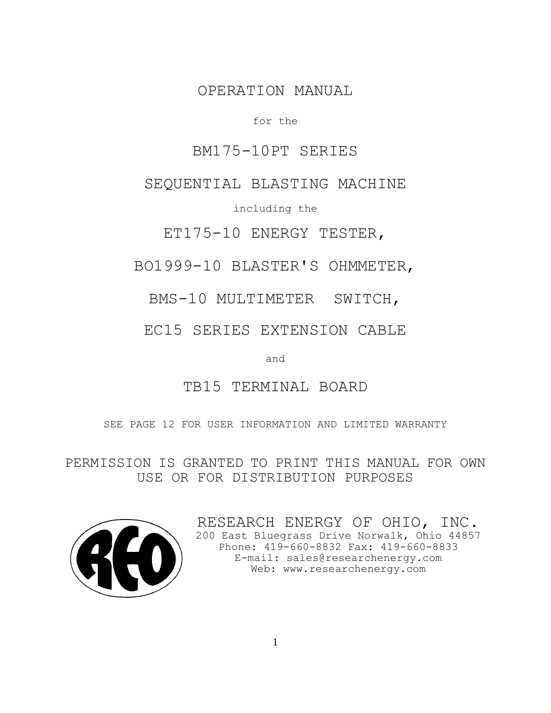## OPERATION MANUAL

### for the

## BM175-10PT SERIES

## SEQUENTIAL BLASTING MACHINE

including the

ET175-10 ENERGY TESTER,

BO1999-10 BLASTER'S OHMMETER,

BMS-10 MULTIMETER SWITCH,

EC15 SERIES EXTENSION CABLE

and

# TB15 TERMINAL BOARD

SEE PAGE 12 FOR USER INFORMATION AND LIMITED WARRANTY

PERMISSION IS GRANTED TO PRINT THIS MANUAL FOR OWN USE OR FOR DISTRIBUTION PURPOSES



RESEARCH ENERGY OF OHIO, INC. 200 East Bluegrass Drive Norwalk, Ohio 44857 Phone: 419-660-8832 Fax: 419-660-8833 E-mail: sales@researchenergy.com Web: www.researchenergy.com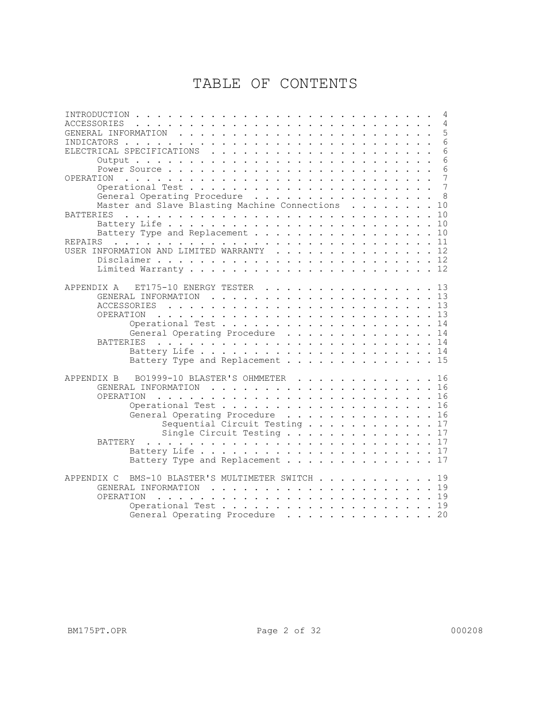# TABLE OF CONTENTS

| 4                                                                                                                                                                                                                                                    |  |
|------------------------------------------------------------------------------------------------------------------------------------------------------------------------------------------------------------------------------------------------------|--|
| <b>ACCESSORIES</b><br>4<br>.<br>$\cdot$ $\cdot$ $\cdot$                                                                                                                                                                                              |  |
| 5                                                                                                                                                                                                                                                    |  |
| 6<br>INDICATORS<br>the contract of the contract of the contract of the contract of the contract of the contract of the contract of the contract of the contract of the contract of the contract of the contract of the contract of the contract o    |  |
| 6<br>ELECTRICAL SPECIFICATIONS<br>$\begin{array}{cccccccccccccccccc} . & . & . & . & . & . & . & . & . & . & . & . \end{array}$<br>$\sim$                                                                                                            |  |
| 6<br>$Output :  :  :  :  :  :  :  :  :  :  : $                                                                                                                                                                                                       |  |
| 6<br>Power Source                                                                                                                                                                                                                                    |  |
| 7<br>OPERATION                                                                                                                                                                                                                                       |  |
|                                                                                                                                                                                                                                                      |  |
| General Operating Procedure                                                                                                                                                                                                                          |  |
| Master and Slave Blasting Machine Connections<br>10<br>$\mathbf{1}$ $\mathbf{1}$ $\mathbf{1}$ $\mathbf{1}$ $\mathbf{1}$<br>$\sim$ $\sim$ $\sim$                                                                                                      |  |
| <b>BATTERIES</b>                                                                                                                                                                                                                                     |  |
| 10                                                                                                                                                                                                                                                   |  |
| Battery Type and Replacement<br>10<br>$\sim$ $\sim$ $\sim$                                                                                                                                                                                           |  |
| <b>REPAIRS</b>                                                                                                                                                                                                                                       |  |
| USER INFORMATION AND LIMITED WARRANTY 12                                                                                                                                                                                                             |  |
|                                                                                                                                                                                                                                                      |  |
|                                                                                                                                                                                                                                                      |  |
|                                                                                                                                                                                                                                                      |  |
| APPENDIX A ET175-10 ENERGY TESTER 13                                                                                                                                                                                                                 |  |
|                                                                                                                                                                                                                                                      |  |
|                                                                                                                                                                                                                                                      |  |
| OPERATION<br>13                                                                                                                                                                                                                                      |  |
| Operational Test 14                                                                                                                                                                                                                                  |  |
| General Operating Procedure 14                                                                                                                                                                                                                       |  |
| BATTERIES                                                                                                                                                                                                                                            |  |
|                                                                                                                                                                                                                                                      |  |
| Battery Type and Replacement 15                                                                                                                                                                                                                      |  |
|                                                                                                                                                                                                                                                      |  |
| BO1999-10 BLASTER'S OHMMETER 16<br>APPENDIX B                                                                                                                                                                                                        |  |
|                                                                                                                                                                                                                                                      |  |
| OPERATION<br>16<br>$\frac{1}{2}$ . The contract of the contract of the contract of the contract of the contract of the contract of the contract of the contract of the contract of the contract of the contract of the contract of the contract of t |  |
| Operational Test 16                                                                                                                                                                                                                                  |  |
| General Operating Procedure 16                                                                                                                                                                                                                       |  |
| Sequential Circuit Testing 17                                                                                                                                                                                                                        |  |
| Single Circuit Testing 17                                                                                                                                                                                                                            |  |
| BATTERY                                                                                                                                                                                                                                              |  |
|                                                                                                                                                                                                                                                      |  |
| Battery Type and Replacement 17                                                                                                                                                                                                                      |  |
|                                                                                                                                                                                                                                                      |  |
| BMS-10 BLASTER'S MULTIMETER SWITCH 19<br>APPENDIX C                                                                                                                                                                                                  |  |
|                                                                                                                                                                                                                                                      |  |
| OPERATION                                                                                                                                                                                                                                            |  |
| Operational Test 19                                                                                                                                                                                                                                  |  |
| General Operating Procedure 20                                                                                                                                                                                                                       |  |
|                                                                                                                                                                                                                                                      |  |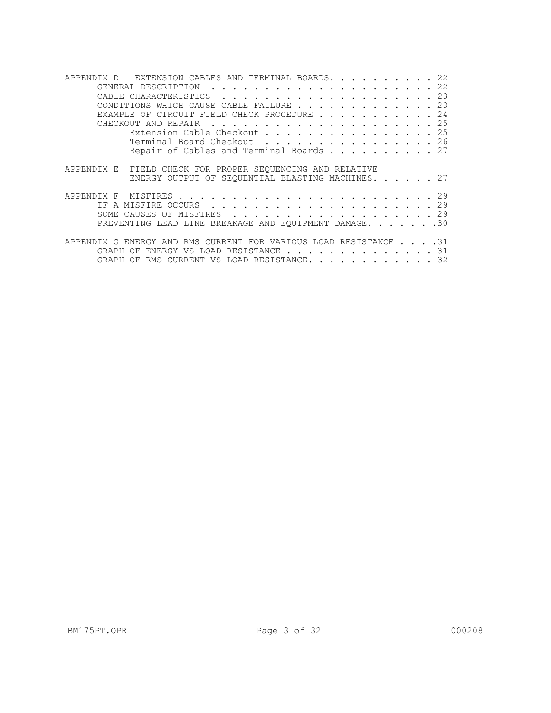| EXTENSION CABLES AND TERMINAL BOARDS. 22<br>APPENDIX D                                                                                                      |
|-------------------------------------------------------------------------------------------------------------------------------------------------------------|
|                                                                                                                                                             |
|                                                                                                                                                             |
| CONDITIONS WHICH CAUSE CABLE FAILURE 23                                                                                                                     |
| EXAMPLE OF CIRCUIT FIELD CHECK PROCEDURE 24                                                                                                                 |
|                                                                                                                                                             |
| Extension Cable Checkout 25                                                                                                                                 |
| Terminal Board Checkout 26                                                                                                                                  |
| Repair of Cables and Terminal Boards 27                                                                                                                     |
| APPENDIX E FIELD CHECK FOR PROPER SEOUENCING AND RELATIVE<br>ENERGY OUTPUT OF SEOUENTIAL BLASTING MACHINES. 27                                              |
|                                                                                                                                                             |
|                                                                                                                                                             |
| SOME CAUSES OF MISFIRES 29                                                                                                                                  |
| PREVENTING LEAD LINE BREAKAGE AND EOUIPMENT DAMAGE. 30                                                                                                      |
| APPENDIX G ENERGY AND RMS CURRENT FOR VARIOUS LOAD RESISTANCE 31<br>GRAPH OF ENERGY VS LOAD RESISTANCE 31<br>OF RMS CURRENT VS LOAD RESISTANCE. 32<br>GRAPH |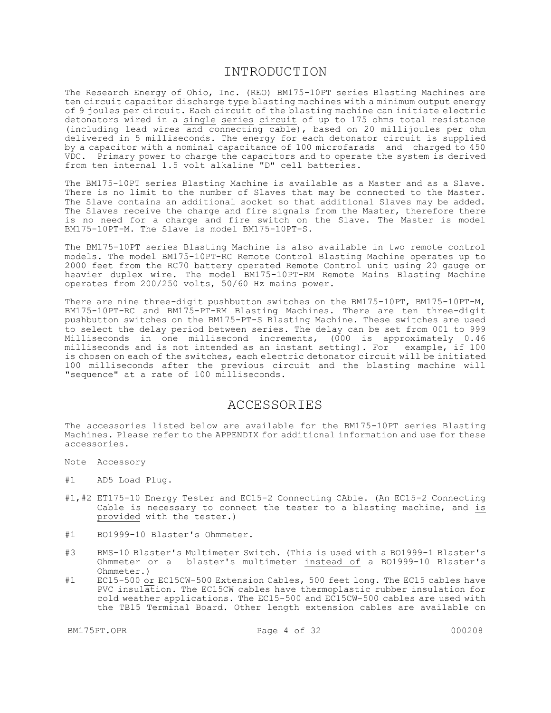### INTRODUCTION

The Research Energy of Ohio, Inc. (REO) BM175-10PT series Blasting Machines are ten circuit capacitor discharge type blasting machines with a minimum output energy of 9 joules per circuit. Each circuit of the blasting machine can initiate electric detonators wired in a single series circuit of up to 175 ohms total resistance (including lead wires and connecting cable), based on 20 millijoules per ohm delivered in 5 milliseconds. The energy for each detonator circuit is supplied by a capacitor with a nominal capacitance of 100 microfarads and charged to 450 VDC. Primary power to charge the capacitors and to operate the system is derived from ten internal 1.5 volt alkaline "D" cell batteries.

The BM175-10PT series Blasting Machine is available as a Master and as a Slave. There is no limit to the number of Slaves that may be connected to the Master. The Slave contains an additional socket so that additional Slaves may be added. The Slaves receive the charge and fire signals from the Master, therefore there is no need for a charge and fire switch on the Slave. The Master is model BM175-10PT-M. The Slave is model BM175-10PT-S.

The BM175-10PT series Blasting Machine is also available in two remote control models. The model BM175-10PT-RC Remote Control Blasting Machine operates up to 2000 feet from the RC70 battery operated Remote Control unit using 20 gauge or heavier duplex wire. The model BM175-10PT-RM Remote Mains Blasting Machine operates from 200/250 volts, 50/60 Hz mains power.

There are nine three-digit pushbutton switches on the BM175-10PT, BM175-10PT-M, BM175-10PT-RC and BM175-PT-RM Blasting Machines. There are ten three-digit pushbutton switches on the BM175-PT-S Blasting Machine. These switches are used to select the delay period between series. The delay can be set from 001 to 999 Milliseconds in one millisecond increments, (000 is approximately 0.46 milliseconds and is not intended as an instant setting). For example, if 100 is chosen on each of the switches, each electric detonator circuit will be initiated 100 milliseconds after the previous circuit and the blasting machine will "sequence" at a rate of 100 milliseconds.

## ACCESSORIES

The accessories listed below are available for the BM175-10PT series Blasting Machines. Please refer to the APPENDIX for additional information and use for these accessories.

- Note Accessory
- #1 AD5 Load Plug.
- #1,#2 ET175-10 Energy Tester and EC15-2 Connecting CAble. (An EC15-2 Connecting Cable is necessary to connect the tester to a blasting machine, and is provided with the tester.)
- #1 BO1999-10 Blaster's Ohmmeter.
- #3 BMS-10 Blaster's Multimeter Switch. (This is used with a BO1999-1 Blaster's Ohmmeter or a blaster's multimeter instead of a BO1999-10 Blaster's Ohmmeter.)
- #1 EC15-500 or EC15CW-500 Extension Cables, 500 feet long. The EC15 cables have PVC insulation. The EC15CW cables have thermoplastic rubber insulation for cold weather applications. The EC15-500 and EC15CW-500 cables are used with the TB15 Terminal Board. Other length extension cables are available on

BM175PT.OPR 2000208 Page 4 of 32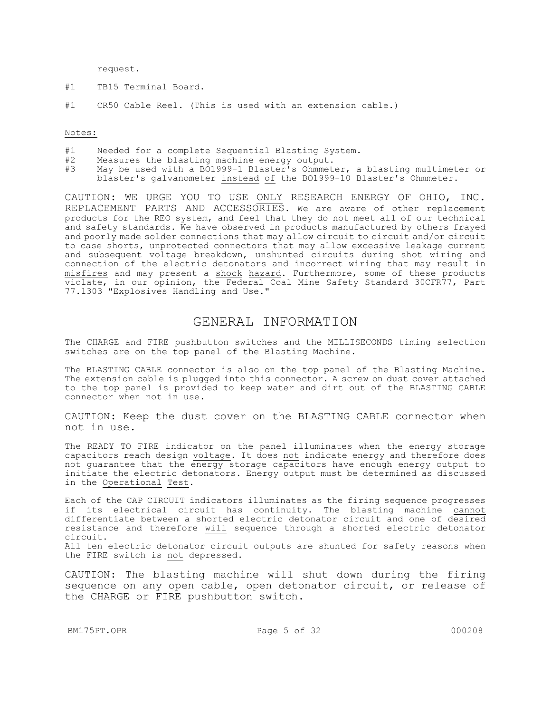request.

- #1 TB15 Terminal Board.
- #1 CR50 Cable Reel. (This is used with an extension cable.)

Notes:

- #1 Needed for a complete Sequential Blasting System.
- #2 Measures the blasting machine energy output.<br>#3 May be used with a BO1999-1 Blaster's Ohmmet
- May be used with a BO1999-1 Blaster's Ohmmeter, a blasting multimeter or blaster's galvanometer instead of the BO1999-10 Blaster's Ohmmeter.

CAUTION: WE URGE YOU TO USE ONLY RESEARCH ENERGY OF OHIO, INC. REPLACEMENT PARTS AND ACCESSORIES. We are aware of other replacement products for the REO system, and feel that they do not meet all of our technical and safety standards. We have observed in products manufactured by others frayed and poorly made solder connections that may allow circuit to circuit and/or circuit to case shorts, unprotected connectors that may allow excessive leakage current and subsequent voltage breakdown, unshunted circuits during shot wiring and connection of the electric detonators and incorrect wiring that may result in misfires and may present a shock hazard. Furthermore, some of these products violate, in our opinion, the Federal Coal Mine Safety Standard 30CFR77, Part 77.1303 "Explosives Handling and Use."

### GENERAL INFORMATION

The CHARGE and FIRE pushbutton switches and the MILLISECONDS timing selection switches are on the top panel of the Blasting Machine.

The BLASTING CABLE connector is also on the top panel of the Blasting Machine. The extension cable is plugged into this connector. A screw on dust cover attached to the top panel is provided to keep water and dirt out of the BLASTING CABLE connector when not in use.

CAUTION: Keep the dust cover on the BLASTING CABLE connector when not in use.

The READY TO FIRE indicator on the panel illuminates when the energy storage capacitors reach design voltage. It does not indicate energy and therefore does not guarantee that the energy storage capacitors have enough energy output to initiate the electric detonators. Energy output must be determined as discussed in the Operational Test.

Each of the CAP CIRCUIT indicators illuminates as the firing sequence progresses if its electrical circuit has continuity. The blasting machine cannot differentiate between a shorted electric detonator circuit and one of desired resistance and therefore will sequence through a shorted electric detonator circuit.

All ten electric detonator circuit outputs are shunted for safety reasons when the FIRE switch is not depressed.

CAUTION: The blasting machine will shut down during the firing sequence on any open cable, open detonator circuit, or release of the CHARGE or FIRE pushbutton switch.

BM175PT.OPR Page 5 of 32 000208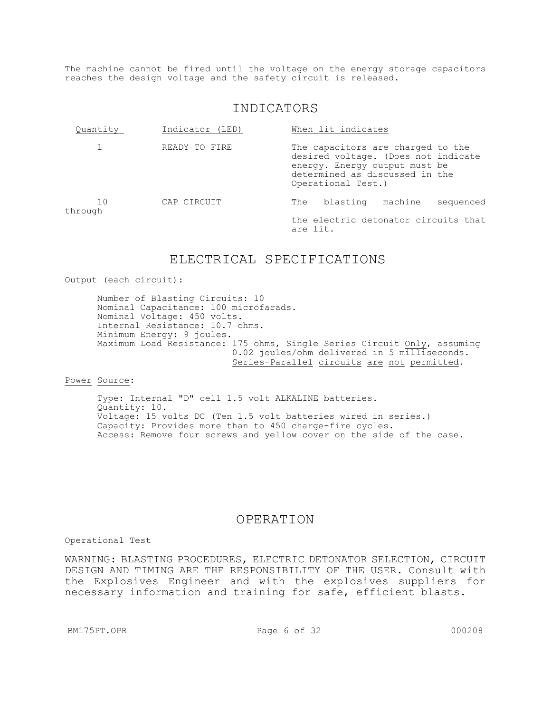The machine cannot be fired until the voltage on the energy storage capacitors reaches the design voltage and the safety circuit is released.

## INDICATORS

| Quantity      | Indicator (LED) | When lit indicates                                                                                                                                                |
|---------------|-----------------|-------------------------------------------------------------------------------------------------------------------------------------------------------------------|
|               | READY TO FIRE   | The capacitors are charged to the<br>desired voltage. (Does not indicate<br>energy. Energy output must be<br>determined as discussed in the<br>Operational Test.) |
| 10<br>through | CAP CIRCUIT     | blasting machine<br>The<br>sequenced                                                                                                                              |
|               |                 | the electric detonator circuits that<br>are lit.                                                                                                                  |

## ELECTRICAL SPECIFICATIONS

#### Output (each circuit):

Number of Blasting Circuits: 10 Nominal Capacitance: 100 microfarads. Nominal Voltage: 450 volts. Internal Resistance: 10.7 ohms. Minimum Energy: 9 joules. Maximum Load Resistance: 175 ohms, Single Series Circuit Only, assuming 0.02 joules/ohm delivered in 5 milliseconds. Series-Parallel circuits are not permitted.

#### Power Source:

Type: Internal "D" cell 1.5 volt ALKALINE batteries. Quantity: 10. Voltage: 15 volts DC (Ten 1.5 volt batteries wired in series.) Capacity: Provides more than to 450 charge-fire cycles. Access: Remove four screws and yellow cover on the side of the case.

### OPERATION

#### Operational Test

WARNING: BLASTING PROCEDURES, ELECTRIC DETONATOR SELECTION, CIRCUIT DESIGN AND TIMING ARE THE RESPONSIBILITY OF THE USER. Consult with the Explosives Engineer and with the explosives suppliers for necessary information and training for safe, efficient blasts.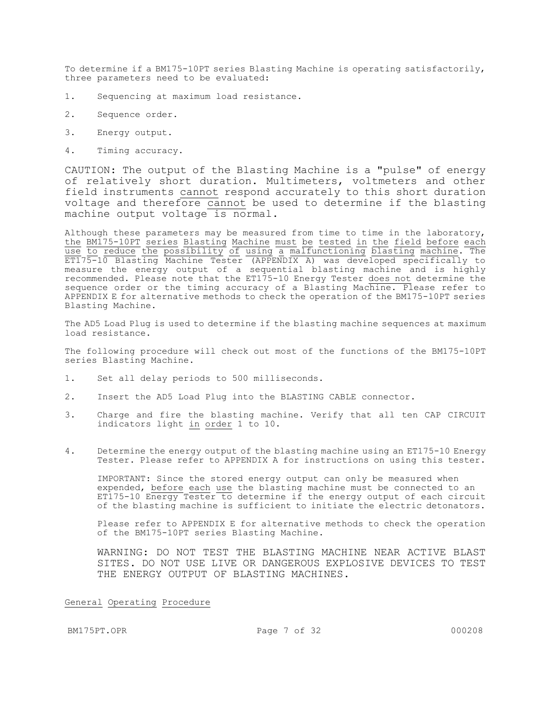To determine if a BM175-10PT series Blasting Machine is operating satisfactorily, three parameters need to be evaluated:

- 1. Sequencing at maximum load resistance.
- 2. Sequence order.
- 3. Energy output.
- 4. Timing accuracy.

CAUTION: The output of the Blasting Machine is a "pulse" of energy of relatively short duration. Multimeters, voltmeters and other field instruments cannot respond accurately to this short duration voltage and therefore cannot be used to determine if the blasting machine output voltage is normal.

Although these parameters may be measured from time to time in the laboratory, the BM175-10PT series Blasting Machine must be tested in the field before each use to reduce the possibility of using a malfunctioning blasting machine. The ET175-10 Blasting Machine Tester (APPENDIX A) was developed specifically to measure the energy output of a sequential blasting machine and is highly recommended. Please note that the ET175-10 Energy Tester does not determine the sequence order or the timing accuracy of a Blasting Machine. Please refer to APPENDIX E for alternative methods to check the operation of the BM175-10PT series Blasting Machine.

The AD5 Load Plug is used to determine if the blasting machine sequences at maximum load resistance.

The following procedure will check out most of the functions of the BM175-10PT series Blasting Machine.

- 1. Set all delay periods to 500 milliseconds.
- 2. Insert the AD5 Load Plug into the BLASTING CABLE connector.
- 3. Charge and fire the blasting machine. Verify that all ten CAP CIRCUIT indicators light in order 1 to 10.
- 4. Determine the energy output of the blasting machine using an ET175-10 Energy Tester. Please refer to APPENDIX A for instructions on using this tester.

IMPORTANT: Since the stored energy output can only be measured when expended, before each use the blasting machine must be connected to an ET175-10 Energy Tester to determine if the energy output of each circuit of the blasting machine is sufficient to initiate the electric detonators.

Please refer to APPENDIX E for alternative methods to check the operation of the BM175-10PT series Blasting Machine.

WARNING: DO NOT TEST THE BLASTING MACHINE NEAR ACTIVE BLAST SITES. DO NOT USE LIVE OR DANGEROUS EXPLOSIVE DEVICES TO TEST THE ENERGY OUTPUT OF BLASTING MACHINES.

General Operating Procedure

BM175PT.OPR 2000208 Page 7 of 32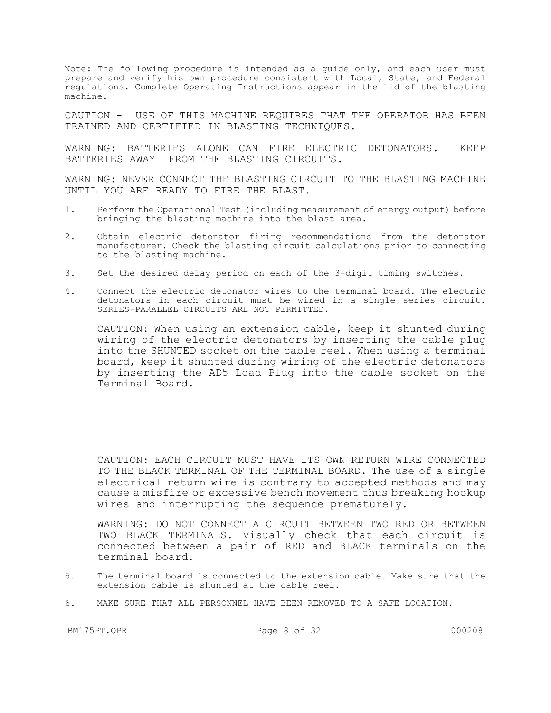Note: The following procedure is intended as a guide only, and each user must prepare and verify his own procedure consistent with Local, State, and Federal regulations. Complete Operating Instructions appear in the lid of the blasting machine.

CAUTION - USE OF THIS MACHINE REQUIRES THAT THE OPERATOR HAS BEEN TRAINED AND CERTIFIED IN BLASTING TECHNIQUES.

WARNING: BATTERIES ALONE CAN FIRE ELECTRIC DETONATORS. KEEP BATTERIES AWAY FROM THE BLASTING CIRCUITS.

WARNING: NEVER CONNECT THE BLASTING CIRCUIT TO THE BLASTING MACHINE UNTIL YOU ARE READY TO FIRE THE BLAST.

- 1. Perform the Operational Test (including measurement of energy output) before bringing the blasting machine into the blast area.
- 2. Obtain electric detonator firing recommendations from the detonator manufacturer. Check the blasting circuit calculations prior to connecting to the blasting machine.
- 3. Set the desired delay period on each of the 3-digit timing switches.
- 4. Connect the electric detonator wires to the terminal board. The electric detonators in each circuit must be wired in a single series circuit. SERIES-PARALLEL CIRCUITS ARE NOT PERMITTED.

CAUTION: When using an extension cable, keep it shunted during wiring of the electric detonators by inserting the cable plug into the SHUNTED socket on the cable reel. When using a terminal board, keep it shunted during wiring of the electric detonators by inserting the AD5 Load Plug into the cable socket on the Terminal Board.

CAUTION: EACH CIRCUIT MUST HAVE ITS OWN RETURN WIRE CONNECTED TO THE BLACK TERMINAL OF THE TERMINAL BOARD. The use of a single electrical return wire is contrary to accepted methods and may cause a misfire or excessive bench movement thus breaking hookup wires and interrupting the sequence prematurely.

WARNING: DO NOT CONNECT A CIRCUIT BETWEEN TWO RED OR BETWEEN TWO BLACK TERMINALS. Visually check that each circuit is connected between a pair of RED and BLACK terminals on the terminal board.

- 5. The terminal board is connected to the extension cable. Make sure that the extension cable is shunted at the cable reel.
- 6. MAKE SURE THAT ALL PERSONNEL HAVE BEEN REMOVED TO A SAFE LOCATION.

BM175PT.OPR 2000208 Page 8 of 32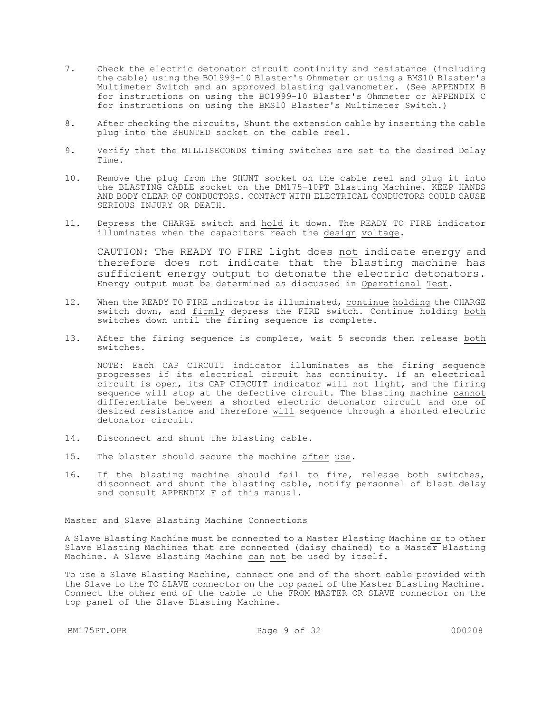- 7. Check the electric detonator circuit continuity and resistance (including the cable) using the BO1999-10 Blaster's Ohmmeter or using a BMS10 Blaster's Multimeter Switch and an approved blasting galvanometer. (See APPENDIX B for instructions on using the BO1999-10 Blaster's Ohmmeter or APPENDIX C for instructions on using the BMS10 Blaster's Multimeter Switch.)
- 8. After checking the circuits, Shunt the extension cable by inserting the cable plug into the SHUNTED socket on the cable reel.
- 9. Verify that the MILLISECONDS timing switches are set to the desired Delay Time.
- 10. Remove the plug from the SHUNT socket on the cable reel and plug it into the BLASTING CABLE socket on the BM175-10PT Blasting Machine. KEEP HANDS AND BODY CLEAR OF CONDUCTORS. CONTACT WITH ELECTRICAL CONDUCTORS COULD CAUSE SERIOUS INJURY OR DEATH.
- 11. Depress the CHARGE switch and hold it down. The READY TO FIRE indicator illuminates when the capacitors reach the design voltage.

CAUTION: The READY TO FIRE light does not indicate energy and therefore does not indicate that the blasting machine has sufficient energy output to detonate the electric detonators. Energy output must be determined as discussed in Operational Test.

- 12. When the READY TO FIRE indicator is illuminated, continue holding the CHARGE switch down, and firmly depress the FIRE switch. Continue holding both switches down until the firing sequence is complete.
- 13. After the firing sequence is complete, wait 5 seconds then release both switches.

NOTE: Each CAP CIRCUIT indicator illuminates as the firing sequence progresses if its electrical circuit has continuity. If an electrical circuit is open, its CAP CIRCUIT indicator will not light, and the firing sequence will stop at the defective circuit. The blasting machine cannot differentiate between a shorted electric detonator circuit and one of desired resistance and therefore will sequence through a shorted electric detonator circuit.

- 14. Disconnect and shunt the blasting cable.
- 15. The blaster should secure the machine after use.
- 16. If the blasting machine should fail to fire, release both switches, disconnect and shunt the blasting cable, notify personnel of blast delay and consult APPENDIX F of this manual.

#### Master and Slave Blasting Machine Connections

A Slave Blasting Machine must be connected to a Master Blasting Machine or to other Slave Blasting Machines that are connected (daisy chained) to a Master Blasting Machine. A Slave Blasting Machine can not be used by itself.

To use a Slave Blasting Machine, connect one end of the short cable provided with the Slave to the TO SLAVE connector on the top panel of the Master Blasting Machine. Connect the other end of the cable to the FROM MASTER OR SLAVE connector on the top panel of the Slave Blasting Machine.

BM175PT.OPR 2000208 Page 9 of 32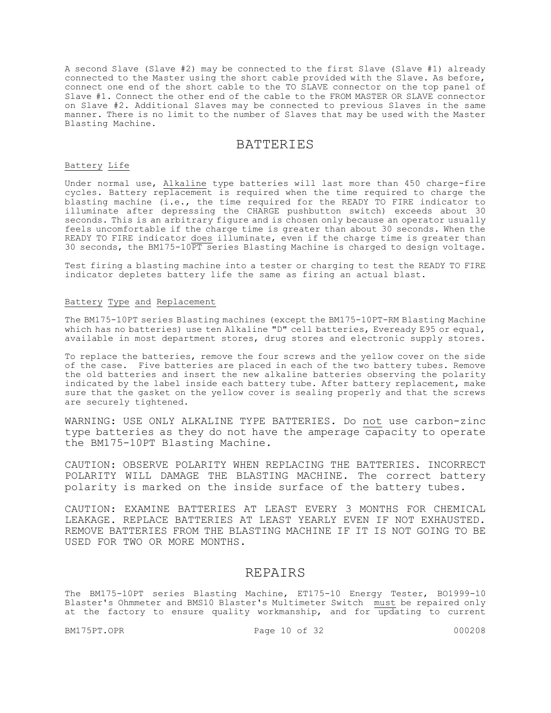A second Slave (Slave #2) may be connected to the first Slave (Slave #1) already connected to the Master using the short cable provided with the Slave. As before, connect one end of the short cable to the TO SLAVE connector on the top panel of Slave #1. Connect the other end of the cable to the FROM MASTER OR SLAVE connector on Slave #2. Additional Slaves may be connected to previous Slaves in the same manner. There is no limit to the number of Slaves that may be used with the Master Blasting Machine.

### BATTERIES

#### Battery Life

Under normal use, Alkaline type batteries will last more than 450 charge-fire cycles. Battery replacement is required when the time required to charge the blasting machine (i.e., the time required for the READY TO FIRE indicator to illuminate after depressing the CHARGE pushbutton switch) exceeds about 30 seconds. This is an arbitrary figure and is chosen only because an operator usually feels uncomfortable if the charge time is greater than about 30 seconds. When the READY TO FIRE indicator does illuminate, even if the charge time is greater than 30 seconds, the BM175-10PT series Blasting Machine is charged to design voltage.

Test firing a blasting machine into a tester or charging to test the READY TO FIRE indicator depletes battery life the same as firing an actual blast.

#### Battery Type and Replacement

The BM175-10PT series Blasting machines (except the BM175-10PT-RM Blasting Machine which has no batteries) use ten Alkaline "D" cell batteries, Eveready E95 or equal, available in most department stores, drug stores and electronic supply stores.

To replace the batteries, remove the four screws and the yellow cover on the side of the case. Five batteries are placed in each of the two battery tubes. Remove the old batteries and insert the new alkaline batteries observing the polarity indicated by the label inside each battery tube. After battery replacement, make sure that the gasket on the yellow cover is sealing properly and that the screws are securely tightened.

WARNING: USE ONLY ALKALINE TYPE BATTERIES. Do not use carbon-zinc type batteries as they do not have the amperage capacity to operate the BM175-10PT Blasting Machine.

CAUTION: OBSERVE POLARITY WHEN REPLACING THE BATTERIES. INCORRECT POLARITY WILL DAMAGE THE BLASTING MACHINE. The correct battery polarity is marked on the inside surface of the battery tubes.

CAUTION: EXAMINE BATTERIES AT LEAST EVERY 3 MONTHS FOR CHEMICAL LEAKAGE. REPLACE BATTERIES AT LEAST YEARLY EVEN IF NOT EXHAUSTED. REMOVE BATTERIES FROM THE BLASTING MACHINE IF IT IS NOT GOING TO BE USED FOR TWO OR MORE MONTHS.

### REPAIRS

The BM175-10PT series Blasting Machine, ET175-10 Energy Tester, BO1999-10 Blaster's Ohmmeter and BMS10 Blaster's Multimeter Switch must be repaired only at the factory to ensure quality workmanship, and for updating to current

BM175PT.OPR 2000208 Page 10 of 32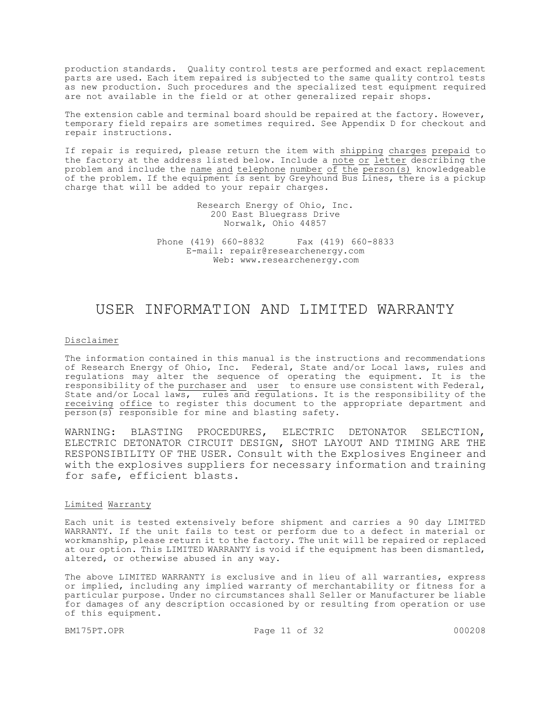production standards. Quality control tests are performed and exact replacement parts are used. Each item repaired is subjected to the same quality control tests as new production. Such procedures and the specialized test equipment required are not available in the field or at other generalized repair shops.

The extension cable and terminal board should be repaired at the factory. However, temporary field repairs are sometimes required. See Appendix D for checkout and repair instructions.

If repair is required, please return the item with shipping charges prepaid to the factory at the address listed below. Include a note or letter describing the problem and include the name and telephone number of the person(s) knowledgeable of the problem. If the equipment is sent by Greyhound Bus Lines, there is a pickup charge that will be added to your repair charges.

> Research Energy of Ohio, Inc. 200 East Bluegrass Drive Norwalk, Ohio 44857

Phone (419) 660-8832 Fax (419) 660-8833 E-mail: repair@researchenergy.com Web: www.researchenergy.com

## USER INFORMATION AND LIMITED WARRANTY

#### Disclaimer

The information contained in this manual is the instructions and recommendations of Research Energy of Ohio, Inc. Federal, State and/or Local laws, rules and regulations may alter the sequence of operating the equipment. It is the responsibility of the purchaser and user to ensure use consistent with Federal, State and/or Local laws, rules and regulations. It is the responsibility of the receiving office to register this document to the appropriate department and person(s) responsible for mine and blasting safety.

WARNING: BLASTING PROCEDURES, ELECTRIC DETONATOR SELECTION, ELECTRIC DETONATOR CIRCUIT DESIGN, SHOT LAYOUT AND TIMING ARE THE RESPONSIBILITY OF THE USER. Consult with the Explosives Engineer and with the explosives suppliers for necessary information and training for safe, efficient blasts.

#### Limited Warranty

Each unit is tested extensively before shipment and carries a 90 day LIMITED WARRANTY. If the unit fails to test or perform due to a defect in material or workmanship, please return it to the factory. The unit will be repaired or replaced at our option. This LIMITED WARRANTY is void if the equipment has been dismantled, altered, or otherwise abused in any way.

The above LIMITED WARRANTY is exclusive and in lieu of all warranties, express or implied, including any implied warranty of merchantability or fitness for a particular purpose. Under no circumstances shall Seller or Manufacturer be liable for damages of any description occasioned by or resulting from operation or use of this equipment.

BM175PT.OPR Page 11 of 32 000208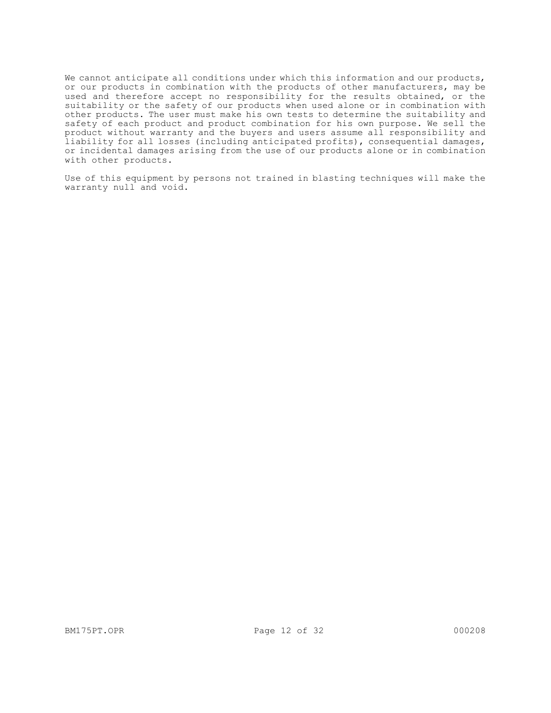We cannot anticipate all conditions under which this information and our products, or our products in combination with the products of other manufacturers, may be used and therefore accept no responsibility for the results obtained, or the suitability or the safety of our products when used alone or in combination with other products. The user must make his own tests to determine the suitability and safety of each product and product combination for his own purpose. We sell the product without warranty and the buyers and users assume all responsibility and liability for all losses (including anticipated profits), consequential damages, or incidental damages arising from the use of our products alone or in combination with other products.

Use of this equipment by persons not trained in blasting techniques will make the warranty null and void.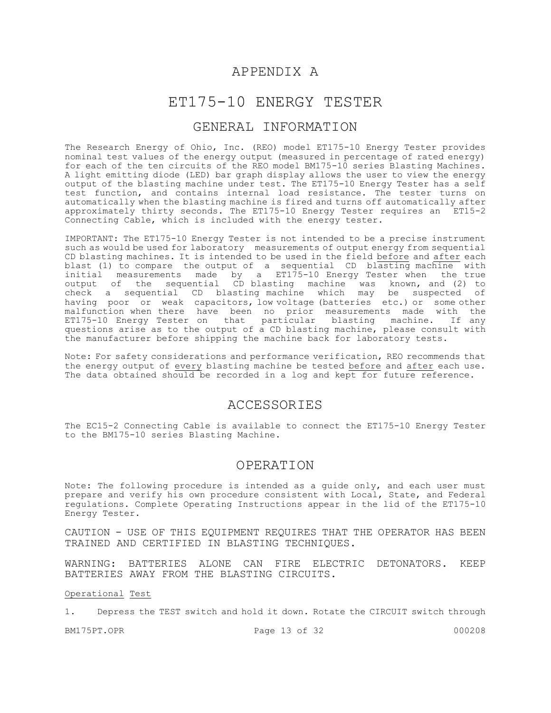## APPENDIX A

## ET175-10 ENERGY TESTER

### GENERAL INFORMATION

The Research Energy of Ohio, Inc. (REO) model ET175-10 Energy Tester provides nominal test values of the energy output (measured in percentage of rated energy) for each of the ten circuits of the REO model BM175-10 series Blasting Machines. A light emitting diode (LED) bar graph display allows the user to view the energy output of the blasting machine under test. The ET175-10 Energy Tester has a self test function, and contains internal load resistance. The tester turns on automatically when the blasting machine is fired and turns off automatically after approximately thirty seconds. The ET175-10 Energy Tester requires an ET15-2 Connecting Cable, which is included with the energy tester.

IMPORTANT: The ET175-10 Energy Tester is not intended to be a precise instrument such as would be used for laboratory measurements of output energy from sequential CD blasting machines. It is intended to be used in the field before and after each blast (1) to compare the output of a sequential CD blasting machine with initial measurements made by a ET175-10 Energy Tester when the true output of the sequential CD blasting machine was known, and (2) to check a sequential CD blasting machine which may be suspected of having poor or weak capacitors, low voltage (batteries etc.) or some other malfunction when there have been no prior measurements made with the ET175-10 Energy Tester on that particular blasting machine. If any questions arise as to the output of a CD blasting machine, please consult with the manufacturer before shipping the machine back for laboratory tests.

Note: For safety considerations and performance verification, REO recommends that the energy output of every blasting machine be tested before and after each use. The data obtained should be recorded in a log and kept for future reference.

### ACCESSORIES

The EC15-2 Connecting Cable is available to connect the ET175-10 Energy Tester to the BM175-10 series Blasting Machine.

### OPERATION

Note: The following procedure is intended as a guide only, and each user must prepare and verify his own procedure consistent with Local, State, and Federal regulations. Complete Operating Instructions appear in the lid of the ET175-10 Energy Tester.

CAUTION - USE OF THIS EQUIPMENT REQUIRES THAT THE OPERATOR HAS BEEN TRAINED AND CERTIFIED IN BLASTING TECHNIQUES.

WARNING: BATTERIES ALONE CAN FIRE ELECTRIC DETONATORS. KEEP BATTERIES AWAY FROM THE BLASTING CIRCUITS.

Operational Test

1. Depress the TEST switch and hold it down. Rotate the CIRCUIT switch through

BM175PT.OPR 2000208 Page 13 of 32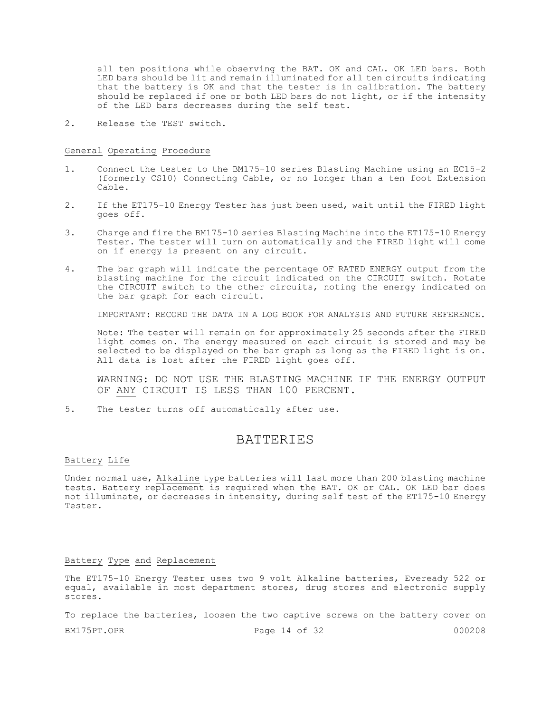all ten positions while observing the BAT. OK and CAL. OK LED bars. Both LED bars should be lit and remain illuminated for all ten circuits indicating that the battery is OK and that the tester is in calibration. The battery should be replaced if one or both LED bars do not light, or if the intensity of the LED bars decreases during the self test.

2. Release the TEST switch.

#### General Operating Procedure

- 1. Connect the tester to the BM175-10 series Blasting Machine using an EC15-2 (formerly CS10) Connecting Cable, or no longer than a ten foot Extension Cable.
- 2. If the ET175-10 Energy Tester has just been used, wait until the FIRED light goes off.
- 3. Charge and fire the BM175-10 series Blasting Machine into the ET175-10 Energy Tester. The tester will turn on automatically and the FIRED light will come on if energy is present on any circuit.
- 4. The bar graph will indicate the percentage OF RATED ENERGY output from the blasting machine for the circuit indicated on the CIRCUIT switch. Rotate the CIRCUIT switch to the other circuits, noting the energy indicated on the bar graph for each circuit.

IMPORTANT: RECORD THE DATA IN A LOG BOOK FOR ANALYSIS AND FUTURE REFERENCE.

Note: The tester will remain on for approximately 25 seconds after the FIRED light comes on. The energy measured on each circuit is stored and may be selected to be displayed on the bar graph as long as the FIRED light is on. All data is lost after the FIRED light goes off.

WARNING: DO NOT USE THE BLASTING MACHINE IF THE ENERGY OUTPUT OF ANY CIRCUIT IS LESS THAN 100 PERCENT.

5. The tester turns off automatically after use.

### **BATTERIES**

#### Battery Life

Under normal use, Alkaline type batteries will last more than 200 blasting machine tests. Battery replacement is required when the BAT. OK or CAL. OK LED bar does not illuminate, or decreases in intensity, during self test of the ET175-10 Energy Tester.

#### Battery Type and Replacement

The ET175-10 Energy Tester uses two 9 volt Alkaline batteries, Eveready 522 or equal, available in most department stores, drug stores and electronic supply stores.

To replace the batteries, loosen the two captive screws on the battery cover on

BM175PT.OPR 2000208 Page 14 of 32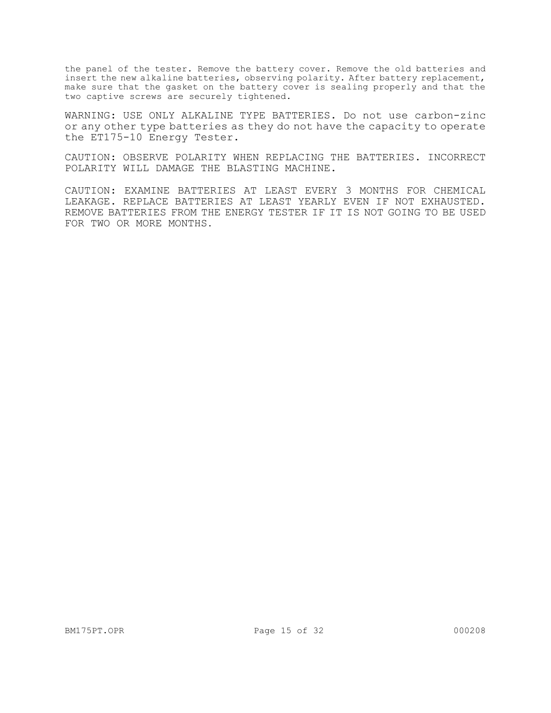the panel of the tester. Remove the battery cover. Remove the old batteries and insert the new alkaline batteries, observing polarity. After battery replacement, make sure that the gasket on the battery cover is sealing properly and that the two captive screws are securely tightened.

WARNING: USE ONLY ALKALINE TYPE BATTERIES. Do not use carbon-zinc or any other type batteries as they do not have the capacity to operate the ET175-10 Energy Tester.

CAUTION: OBSERVE POLARITY WHEN REPLACING THE BATTERIES. INCORRECT POLARITY WILL DAMAGE THE BLASTING MACHINE.

CAUTION: EXAMINE BATTERIES AT LEAST EVERY 3 MONTHS FOR CHEMICAL LEAKAGE. REPLACE BATTERIES AT LEAST YEARLY EVEN IF NOT EXHAUSTED. REMOVE BATTERIES FROM THE ENERGY TESTER IF IT IS NOT GOING TO BE USED FOR TWO OR MORE MONTHS.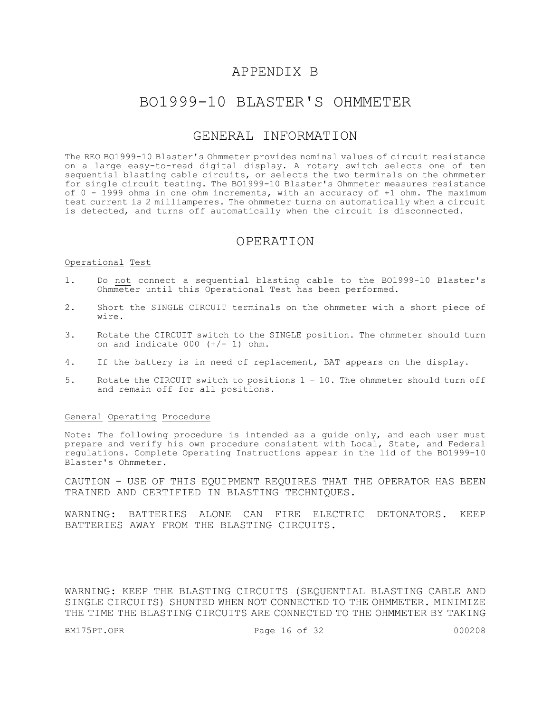## APPENDIX B

## BO1999-10 BLASTER'S OHMMETER

## GENERAL INFORMATION

The REO BO1999-10 Blaster's Ohmmeter provides nominal values of circuit resistance on a large easy-to-read digital display. A rotary switch selects one of ten sequential blasting cable circuits, or selects the two terminals on the ohmmeter for single circuit testing. The BO1999-10 Blaster's Ohmmeter measures resistance of  $0$  - 1999 ohms in one ohm increments, with an accuracy of  $+1$  ohm. The maximum test current is 2 milliamperes. The ohmmeter turns on automatically when a circuit is detected, and turns off automatically when the circuit is disconnected.

#### OPERATION

#### Operational Test

- 1. Do not connect a sequential blasting cable to the BO1999-10 Blaster's Ohmmeter until this Operational Test has been performed.
- 2. Short the SINGLE CIRCUIT terminals on the ohmmeter with a short piece of wire.
- 3. Rotate the CIRCUIT switch to the SINGLE position. The ohmmeter should turn on and indicate  $000 (+/- 1)$  ohm.
- 4. If the battery is in need of replacement, BAT appears on the display.
- 5. Rotate the CIRCUIT switch to positions 1 10. The ohmmeter should turn off and remain off for all positions.

#### General Operating Procedure

Note: The following procedure is intended as a guide only, and each user must prepare and verify his own procedure consistent with Local, State, and Federal regulations. Complete Operating Instructions appear in the lid of the BO1999-10 Blaster's Ohmmeter.

CAUTION - USE OF THIS EQUIPMENT REQUIRES THAT THE OPERATOR HAS BEEN TRAINED AND CERTIFIED IN BLASTING TECHNIQUES.

WARNING: BATTERIES ALONE CAN FIRE ELECTRIC DETONATORS. KEEP BATTERIES AWAY FROM THE BLASTING CIRCUITS.

WARNING: KEEP THE BLASTING CIRCUITS (SEQUENTIAL BLASTING CABLE AND SINGLE CIRCUITS) SHUNTED WHEN NOT CONNECTED TO THE OHMMETER. MINIMIZE THE TIME THE BLASTING CIRCUITS ARE CONNECTED TO THE OHMMETER BY TAKING

BM175PT.OPR 2000208 Page 16 of 32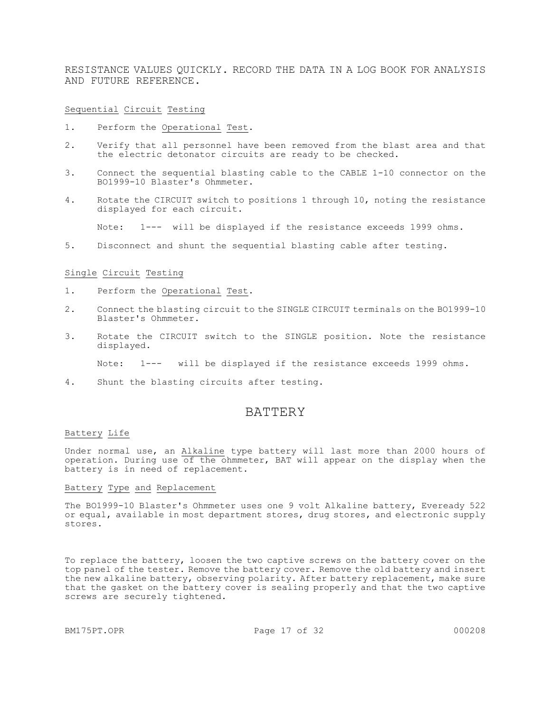RESISTANCE VALUES QUICKLY. RECORD THE DATA IN A LOG BOOK FOR ANALYSIS AND FUTURE REFERENCE.

Sequential Circuit Testing

- 1. Perform the Operational Test.
- 2. Verify that all personnel have been removed from the blast area and that the electric detonator circuits are ready to be checked.
- 3. Connect the sequential blasting cable to the CABLE 1-10 connector on the BO1999-10 Blaster's Ohmmeter.
- 4. Rotate the CIRCUIT switch to positions 1 through 10, noting the resistance displayed for each circuit.

Note: 1--- will be displayed if the resistance exceeds 1999 ohms.

5. Disconnect and shunt the sequential blasting cable after testing.

#### Single Circuit Testing

- 1. Perform the Operational Test.
- 2. Connect the blasting circuit to the SINGLE CIRCUIT terminals on the BO1999-10 Blaster's Ohmmeter.
- 3. Rotate the CIRCUIT switch to the SINGLE position. Note the resistance displayed.

Note: 1--- will be displayed if the resistance exceeds 1999 ohms.

4. Shunt the blasting circuits after testing.

#### **BATTERY**

#### Battery Life

Under normal use, an Alkaline type battery will last more than 2000 hours of operation. During use of the ohmmeter, BAT will appear on the display when the battery is in need of replacement.

#### Battery Type and Replacement

The BO1999-10 Blaster's Ohmmeter uses one 9 volt Alkaline battery, Eveready 522 or equal, available in most department stores, drug stores, and electronic supply stores.

To replace the battery, loosen the two captive screws on the battery cover on the top panel of the tester. Remove the battery cover. Remove the old battery and insert the new alkaline battery, observing polarity. After battery replacement, make sure that the gasket on the battery cover is sealing properly and that the two captive screws are securely tightened.

BM175PT.OPR 2000208 Page 17 of 32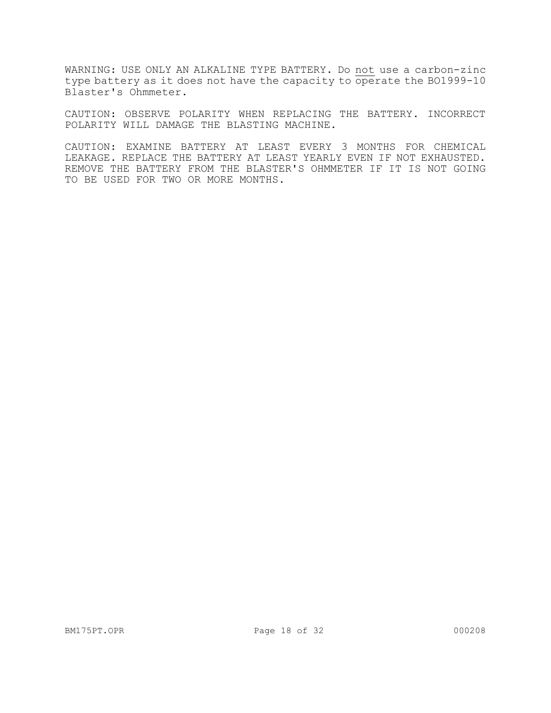WARNING: USE ONLY AN ALKALINE TYPE BATTERY. Do not use a carbon-zinc type battery as it does not have the capacity to operate the B01999-10 Blaster's Ohmmeter.

CAUTION: OBSERVE POLARITY WHEN REPLACING THE BATTERY. INCORRECT POLARITY WILL DAMAGE THE BLASTING MACHINE.

CAUTION: EXAMINE BATTERY AT LEAST EVERY 3 MONTHS FOR CHEMICAL LEAKAGE. REPLACE THE BATTERY AT LEAST YEARLY EVEN IF NOT EXHAUSTED. REMOVE THE BATTERY FROM THE BLASTER'S OHMMETER IF IT IS NOT GOING TO BE USED FOR TWO OR MORE MONTHS.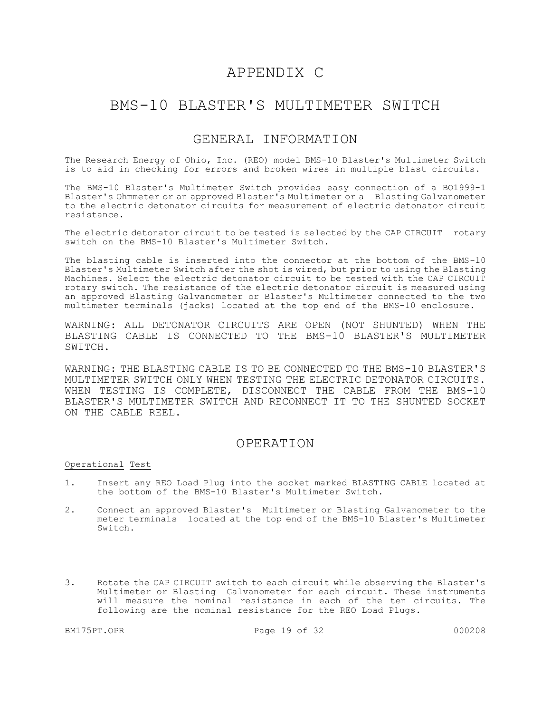## APPENDIX C

## BMS-10 BLASTER'S MULTIMETER SWITCH

## GENERAL INFORMATION

The Research Energy of Ohio, Inc. (REO) model BMS-10 Blaster's Multimeter Switch is to aid in checking for errors and broken wires in multiple blast circuits.

The BMS-10 Blaster's Multimeter Switch provides easy connection of a BO1999-1 Blaster's Ohmmeter or an approved Blaster's Multimeter or a Blasting Galvanometer to the electric detonator circuits for measurement of electric detonator circuit resistance.

The electric detonator circuit to be tested is selected by the CAP CIRCUIT rotary switch on the BMS-10 Blaster's Multimeter Switch.

The blasting cable is inserted into the connector at the bottom of the BMS-10 Blaster's Multimeter Switch after the shot is wired, but prior to using the Blasting Machines. Select the electric detonator circuit to be tested with the CAP CIRCUIT rotary switch. The resistance of the electric detonator circuit is measured using an approved Blasting Galvanometer or Blaster's Multimeter connected to the two multimeter terminals (jacks) located at the top end of the BMS-10 enclosure.

WARNING: ALL DETONATOR CIRCUITS ARE OPEN (NOT SHUNTED) WHEN THE BLASTING CABLE IS CONNECTED TO THE BMS-10 BLASTER'S MULTIMETER SWITCH.

WARNING: THE BLASTING CABLE IS TO BE CONNECTED TO THE BMS-10 BLASTER'S MULTIMETER SWITCH ONLY WHEN TESTING THE ELECTRIC DETONATOR CIRCUITS. WHEN TESTING IS COMPLETE, DISCONNECT THE CABLE FROM THE BMS-10 BLASTER'S MULTIMETER SWITCH AND RECONNECT IT TO THE SHUNTED SOCKET ON THE CABLE REEL.

### OPERATION

#### Operational Test

- 1. Insert any REO Load Plug into the socket marked BLASTING CABLE located at the bottom of the BMS-10 Blaster's Multimeter Switch.
- 2. Connect an approved Blaster's Multimeter or Blasting Galvanometer to the meter terminals located at the top end of the BMS-10 Blaster's Multimeter Switch.
- 3. Rotate the CAP CIRCUIT switch to each circuit while observing the Blaster's Multimeter or Blasting Galvanometer for each circuit. These instruments will measure the nominal resistance in each of the ten circuits. The following are the nominal resistance for the REO Load Plugs.

BM175PT.OPR 2000208 Page 19 of 32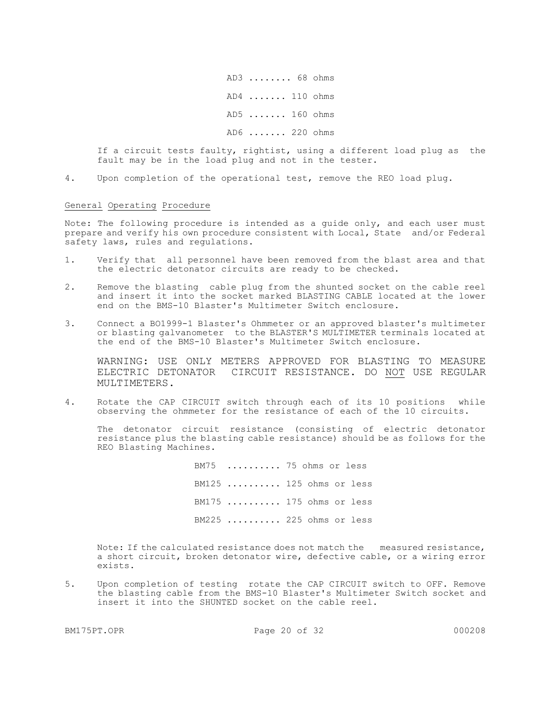AD3 ........ 68 ohms AD4 ....... 110 ohms AD5 ....... 160 ohms AD6 ....... 220 ohms

If a circuit tests faulty, rightist, using a different load plug as the fault may be in the load plug and not in the tester.

4. Upon completion of the operational test, remove the REO load plug.

#### General Operating Procedure

Note: The following procedure is intended as a guide only, and each user must prepare and verify his own procedure consistent with Local, State and/or Federal safety laws, rules and regulations.

- 1. Verify that all personnel have been removed from the blast area and that the electric detonator circuits are ready to be checked.
- 2. Remove the blasting cable plug from the shunted socket on the cable reel and insert it into the socket marked BLASTING CABLE located at the lower end on the BMS-10 Blaster's Multimeter Switch enclosure.
- 3. Connect a BO1999-1 Blaster's Ohmmeter or an approved blaster's multimeter or blasting galvanometer to the BLASTER'S MULTIMETER terminals located at the end of the BMS-10 Blaster's Multimeter Switch enclosure.

WARNING: USE ONLY METERS APPROVED FOR BLASTING TO MEASURE ELECTRIC DETONATOR CIRCUIT RESISTANCE. DO NOT USE REGULAR MULTIMETERS.

4. Rotate the CAP CIRCUIT switch through each of its 10 positions while observing the ohmmeter for the resistance of each of the 10 circuits.

 The detonator circuit resistance (consisting of electric detonator resistance plus the blasting cable resistance) should be as follows for the REO Blasting Machines.

> BM75 .......... 75 ohms or less BM125 .......... 125 ohms or less BM175 .......... 175 ohms or less BM225 .......... 225 ohms or less

Note: If the calculated resistance does not match the measured resistance, a short circuit, broken detonator wire, defective cable, or a wiring error exists.

5. Upon completion of testing rotate the CAP CIRCUIT switch to OFF. Remove the blasting cable from the BMS-10 Blaster's Multimeter Switch socket and insert it into the SHUNTED socket on the cable reel.

BM175PT.OPR 20 of 32 000208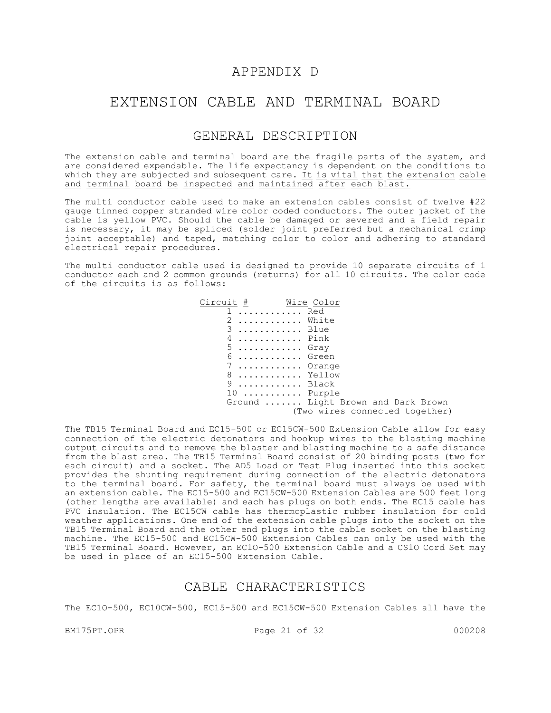## APPENDIX D

## EXTENSION CABLE AND TERMINAL BOARD

## GENERAL DESCRIPTION

The extension cable and terminal board are the fragile parts of the system, and are considered expendable. The life expectancy is dependent on the conditions to which they are subjected and subsequent care. It is vital that the extension cable and terminal board be inspected and maintained after each blast.

The multi conductor cable used to make an extension cables consist of twelve #22 gauge tinned copper stranded wire color coded conductors. The outer jacket of the cable is yellow PVC. Should the cable be damaged or severed and a field repair is necessary, it may be spliced (solder joint preferred but a mechanical crimp joint acceptable) and taped, matching color to color and adhering to standard electrical repair procedures.

The multi conductor cable used is designed to provide 10 separate circuits of 1 conductor each and 2 common grounds (returns) for all 10 circuits. The color code of the circuits is as follows:

| Circuit # Wire Color             |                                    |
|----------------------------------|------------------------------------|
| $1 \ldots \ldots \ldots$ Red     |                                    |
| 2                                | White                              |
| $3$ Blue                         |                                    |
| $4 \ldots \ldots \ldots$ . Pink  |                                    |
| $5$ Gray                         |                                    |
| $6 \ldots \ldots \ldots$ . Green |                                    |
|                                  | $7$ Orange                         |
|                                  | 8  Yellow                          |
| $9 \ldots \ldots \ldots$ Black   |                                    |
|                                  | 10  Purple                         |
|                                  | Ground  Light Brown and Dark Brown |
|                                  | (Two wires connected together)     |

The TB15 Terminal Board and EC15-500 or EC15CW-500 Extension Cable allow for easy connection of the electric detonators and hookup wires to the blasting machine output circuits and to remove the blaster and blasting machine to a safe distance from the blast area. The TB15 Terminal Board consist of 20 binding posts (two for each circuit) and a socket. The AD5 Load or Test Plug inserted into this socket provides the shunting requirement during connection of the electric detonators to the terminal board. For safety, the terminal board must always be used with an extension cable. The EC15-500 and EC15CW-500 Extension Cables are 500 feet long (other lengths are available) and each has plugs on both ends. The EC15 cable has PVC insulation. The EC15CW cable has thermoplastic rubber insulation for cold weather applications. One end of the extension cable plugs into the socket on the TB15 Terminal Board and the other end plugs into the cable socket on the blasting machine. The EC15-500 and EC15CW-500 Extension Cables can only be used with the TB15 Terminal Board. However, an EC1O-500 Extension Cable and a CS1O Cord Set may be used in place of an EC15-500 Extension Cable.

### CABLE CHARACTERISTICS

The EC1O-500, EC10CW-500, EC15-500 and EC15CW-500 Extension Cables all have the

BM175PT.OPR 21 of 32 000208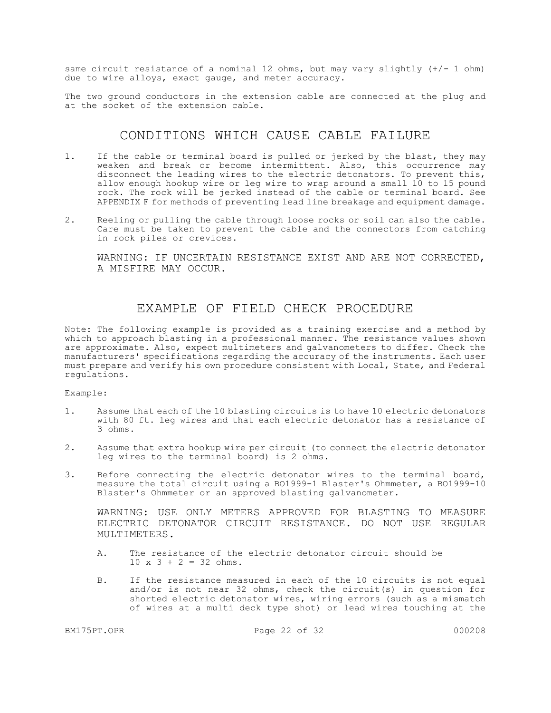same circuit resistance of a nominal 12 ohms, but may vary slightly  $(+/- 1$  ohm) due to wire alloys, exact gauge, and meter accuracy.

The two ground conductors in the extension cable are connected at the plug and at the socket of the extension cable.

## CONDITIONS WHICH CAUSE CABLE FAILURE

- 1. If the cable or terminal board is pulled or jerked by the blast, they may weaken and break or become intermittent. Also, this occurrence may disconnect the leading wires to the electric detonators. To prevent this, allow enough hookup wire or leg wire to wrap around a small 10 to 15 pound rock. The rock will be jerked instead of the cable or terminal board. See APPENDIX F for methods of preventing lead line breakage and equipment damage.
- 2. Reeling or pulling the cable through loose rocks or soil can also the cable. Care must be taken to prevent the cable and the connectors from catching in rock piles or crevices.

WARNING: IF UNCERTAIN RESISTANCE EXIST AND ARE NOT CORRECTED, A MISFIRE MAY OCCUR.

## EXAMPLE OF FIELD CHECK PROCEDURE

Note: The following example is provided as a training exercise and a method by which to approach blasting in a professional manner. The resistance values shown are approximate. Also, expect multimeters and galvanometers to differ. Check the manufacturers' specifications regarding the accuracy of the instruments. Each user must prepare and verify his own procedure consistent with Local, State, and Federal regulations.

Example:

- 1. Assume that each of the 10 blasting circuits is to have 10 electric detonators with 80 ft. leg wires and that each electric detonator has a resistance of 3 ohms.
- 2. Assume that extra hookup wire per circuit (to connect the electric detonator leg wires to the terminal board) is 2 ohms.
- 3. Before connecting the electric detonator wires to the terminal board, measure the total circuit using a BO1999-1 Blaster's Ohmmeter, a BO1999-10 Blaster's Ohmmeter or an approved blasting galvanometer.

WARNING: USE ONLY METERS APPROVED FOR BLASTING TO MEASURE ELECTRIC DETONATOR CIRCUIT RESISTANCE. DO NOT USE REGULAR MULTIMETERS.

- A. The resistance of the electric detonator circuit should be  $10 \times 3 + 2 = 32 \text{ ohms}.$
- B. If the resistance measured in each of the 10 circuits is not equal and/or is not near 32 ohms, check the circuit(s) in question for shorted electric detonator wires, wiring errors (such as a mismatch of wires at a multi deck type shot) or lead wires touching at the

BM175PT.OPR 22 of 32 000208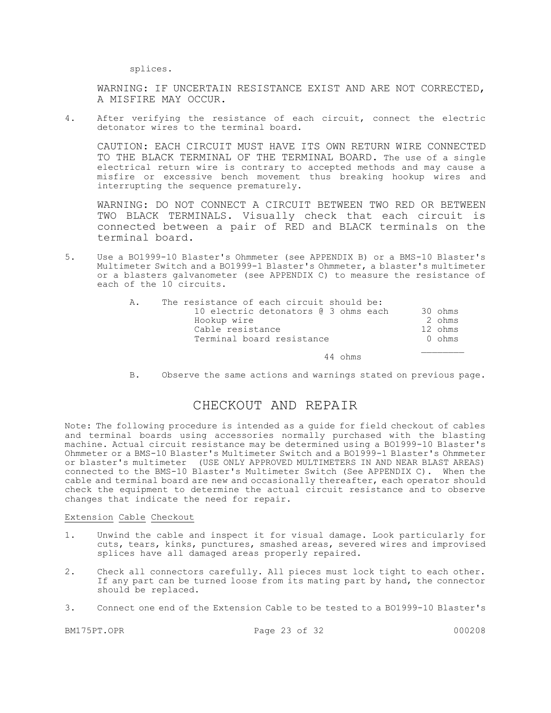splices.

WARNING: IF UNCERTAIN RESISTANCE EXIST AND ARE NOT CORRECTED, A MISFIRE MAY OCCUR.

4. After verifying the resistance of each circuit, connect the electric detonator wires to the terminal board.

CAUTION: EACH CIRCUIT MUST HAVE ITS OWN RETURN WIRE CONNECTED TO THE BLACK TERMINAL OF THE TERMINAL BOARD. The use of a single electrical return wire is contrary to accepted methods and may cause a misfire or excessive bench movement thus breaking hookup wires and interrupting the sequence prematurely.

WARNING: DO NOT CONNECT A CIRCUIT BETWEEN TWO RED OR BETWEEN TWO BLACK TERMINALS. Visually check that each circuit is connected between a pair of RED and BLACK terminals on the terminal board.

5. Use a BO1999-10 Blaster's Ohmmeter (see APPENDIX B) or a BMS-10 Blaster's Multimeter Switch and a BO1999-1 Blaster's Ohmmeter, a blaster's multimeter or a blasters galvanometer (see APPENDIX C) to measure the resistance of each of the 10 circuits.

| Ά. | The resistance of each circuit should be: |         |
|----|-------------------------------------------|---------|
|    | 10 electric detonators @ 3 ohms each      | 30 ohms |
|    | Hookup wire                               | 2 ohms  |
|    | Cable resistance                          | 12 ohms |
|    | Terminal board resistance                 | 0 ohms  |
|    |                                           |         |

44 ohms

B. Observe the same actions and warnings stated on previous page.

## CHECKOUT AND REPAIR

Note: The following procedure is intended as a guide for field checkout of cables and terminal boards using accessories normally purchased with the blasting machine. Actual circuit resistance may be determined using a BO1999-10 Blaster's Ohmmeter or a BMS-10 Blaster's Multimeter Switch and a BO1999-1 Blaster's Ohmmeter or blaster's multimeter (USE ONLY APPROVED MULTIMETERS IN AND NEAR BLAST AREAS) connected to the BMS-10 Blaster's Multimeter Switch (See APPENDIX C). When the cable and terminal board are new and occasionally thereafter, each operator should check the equipment to determine the actual circuit resistance and to observe changes that indicate the need for repair.

#### Extension Cable Checkout

- 1. Unwind the cable and inspect it for visual damage. Look particularly for cuts, tears, kinks, punctures, smashed areas, severed wires and improvised splices have all damaged areas properly repaired.
- 2. Check all connectors carefully. All pieces must lock tight to each other. If any part can be turned loose from its mating part by hand, the connector should be replaced.
- 3. Connect one end of the Extension Cable to be tested to a BO1999-10 Blaster's

BM175PT.OPR 23 of 32 000208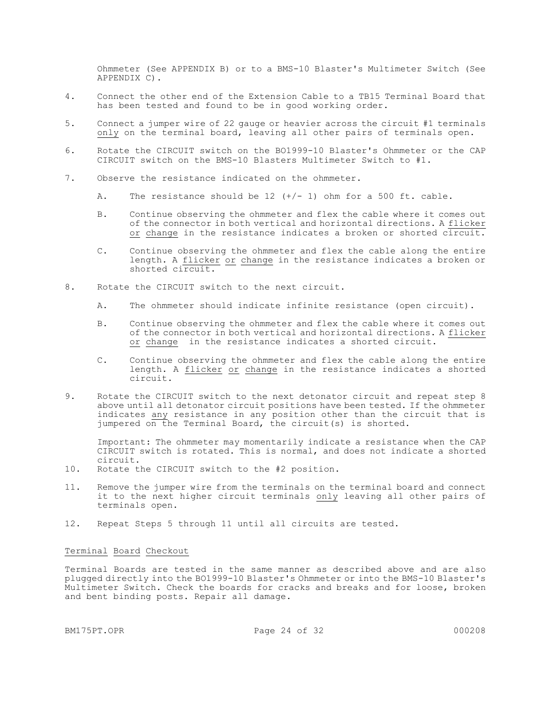Ohmmeter (See APPENDIX B) or to a BMS-10 Blaster's Multimeter Switch (See APPENDIX C).

- 4. Connect the other end of the Extension Cable to a TB15 Terminal Board that has been tested and found to be in good working order.
- 5. Connect a jumper wire of 22 gauge or heavier across the circuit #1 terminals only on the terminal board, leaving all other pairs of terminals open.
- 6. Rotate the CIRCUIT switch on the BO1999-10 Blaster's Ohmmeter or the CAP CIRCUIT switch on the BMS-10 Blasters Multimeter Switch to #1.
- 7. Observe the resistance indicated on the ohmmeter.
	- A. The resistance should be  $12$   $(+/- 1)$  ohm for a 500 ft. cable.
	- B. Continue observing the ohmmeter and flex the cable where it comes out of the connector in both vertical and horizontal directions. A flicker or change in the resistance indicates a broken or shorted circuit.
	- C. Continue observing the ohmmeter and flex the cable along the entire length. A flicker or change in the resistance indicates a broken or shorted circuit.
- 8. Rotate the CIRCUIT switch to the next circuit.
	- A. The ohmmeter should indicate infinite resistance (open circuit).
	- B. Continue observing the ohmmeter and flex the cable where it comes out of the connector in both vertical and horizontal directions. A flicker or change in the resistance indicates a shorted circuit.
	- C. Continue observing the ohmmeter and flex the cable along the entire length. A flicker or change in the resistance indicates a shorted circuit.
- 9. Rotate the CIRCUIT switch to the next detonator circuit and repeat step 8 above until all detonator circuit positions have been tested. If the ohmmeter indicates any resistance in any position other than the circuit that is jumpered on the Terminal Board, the circuit(s) is shorted.

Important: The ohmmeter may momentarily indicate a resistance when the CAP CIRCUIT switch is rotated. This is normal, and does not indicate a shorted circuit.

- 10. Rotate the CIRCUIT switch to the #2 position.
- 11. Remove the jumper wire from the terminals on the terminal board and connect it to the next higher circuit terminals only leaving all other pairs of terminals open.
- 12. Repeat Steps 5 through 11 until all circuits are tested.

#### Terminal Board Checkout

Terminal Boards are tested in the same manner as described above and are also plugged directly into the BO1999-10 Blaster's Ohmmeter or into the BMS-10 Blaster's Multimeter Switch. Check the boards for cracks and breaks and for loose, broken and bent binding posts. Repair all damage.

BM175PT.OPR 24 of 32 000208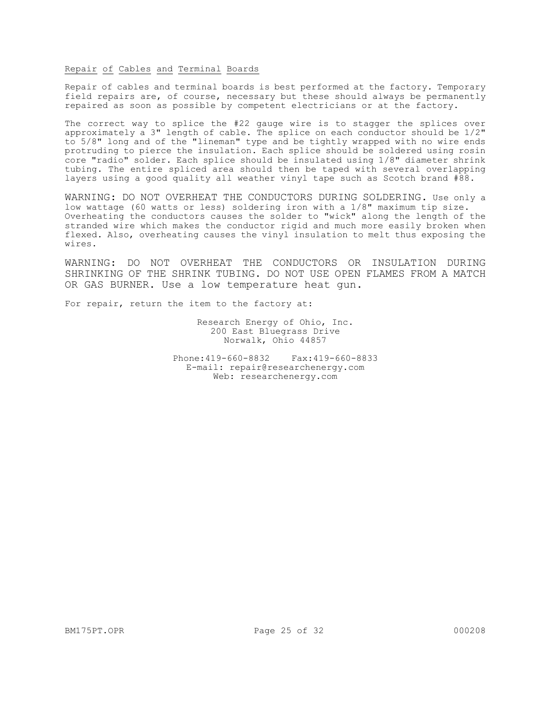#### Repair of Cables and Terminal Boards

Repair of cables and terminal boards is best performed at the factory. Temporary field repairs are, of course, necessary but these should always be permanently repaired as soon as possible by competent electricians or at the factory.

The correct way to splice the #22 gauge wire is to stagger the splices over approximately a 3" length of cable. The splice on each conductor should be 1/2" to 5/8" long and of the "lineman" type and be tightly wrapped with no wire ends protruding to pierce the insulation. Each splice should be soldered using rosin core "radio" solder. Each splice should be insulated using 1/8" diameter shrink tubing. The entire spliced area should then be taped with several overlapping layers using a good quality all weather vinyl tape such as Scotch brand #88.

WARNING: DO NOT OVERHEAT THE CONDUCTORS DURING SOLDERING. Use only a low wattage (60 watts or less) soldering iron with a 1/8" maximum tip size. Overheating the conductors causes the solder to "wick" along the length of the stranded wire which makes the conductor rigid and much more easily broken when flexed. Also, overheating causes the vinyl insulation to melt thus exposing the wires.

WARNING: DO NOT OVERHEAT THE CONDUCTORS OR INSULATION DURING SHRINKING OF THE SHRINK TUBING. DO NOT USE OPEN FLAMES FROM A MATCH OR GAS BURNER. Use a low temperature heat gun.

For repair, return the item to the factory at:

Research Energy of Ohio, Inc. 200 East Bluegrass Drive Norwalk, Ohio 44857

Phone:419-660-8832 Fax:419-660-8833 E-mail: repair@researchenergy.com Web: researchenergy.com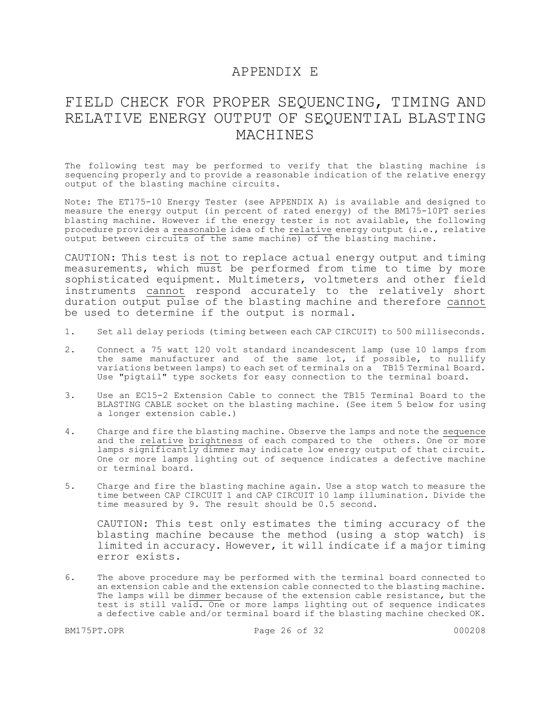## APPENDIX E

# FIELD CHECK FOR PROPER SEQUENCING, TIMING AND RELATIVE ENERGY OUTPUT OF SEQUENTIAL BLASTING MACHINES

The following test may be performed to verify that the blasting machine is sequencing properly and to provide a reasonable indication of the relative energy output of the blasting machine circuits.

Note: The ET175-10 Energy Tester (see APPENDIX A) is available and designed to measure the energy output (in percent of rated energy) of the BM175-10PT series blasting machine. However if the energy tester is not available, the following procedure provides a reasonable idea of the relative energy output (i.e., relative output between circuits of the same machine) of the blasting machine.

CAUTION: This test is not to replace actual energy output and timing measurements, which must be performed from time to time by more sophisticated equipment. Multimeters, voltmeters and other field instruments cannot respond accurately to the relatively short duration output pulse of the blasting machine and therefore cannot be used to determine if the output is normal.

- 1. Set all delay periods (timing between each CAP CIRCUIT) to 500 milliseconds.
- 2. Connect a 75 watt 120 volt standard incandescent lamp (use 10 lamps from the same manufacturer and of the same lot, if possible, to nullify variations between lamps) to each set of terminals on a TB15 Terminal Board. Use "pigtail" type sockets for easy connection to the terminal board.
- 3. Use an EC15-2 Extension Cable to connect the TB15 Terminal Board to the BLASTING CABLE socket on the blasting machine. (See item 5 below for using a longer extension cable.)
- 4. Charge and fire the blasting machine. Observe the lamps and note the sequence and the relative brightness of each compared to the others. One or more lamps significantly dimmer may indicate low energy output of that circuit. One or more lamps lighting out of sequence indicates a defective machine or terminal board.
- 5. Charge and fire the blasting machine again. Use a stop watch to measure the time between CAP CIRCUIT 1 and CAP CIRCUIT 10 lamp illumination. Divide the time measured by 9. The result should be 0.5 second.

CAUTION: This test only estimates the timing accuracy of the blasting machine because the method (using a stop watch) is limited in accuracy. However, it will indicate if a major timing error exists.

6. The above procedure may be performed with the terminal board connected to an extension cable and the extension cable connected to the blasting machine. The lamps will be dimmer because of the extension cable resistance, but the test is still valid. One or more lamps lighting out of sequence indicates a defective cable and/or terminal board if the blasting machine checked OK.

BM175PT.OPR 26 of 32 000208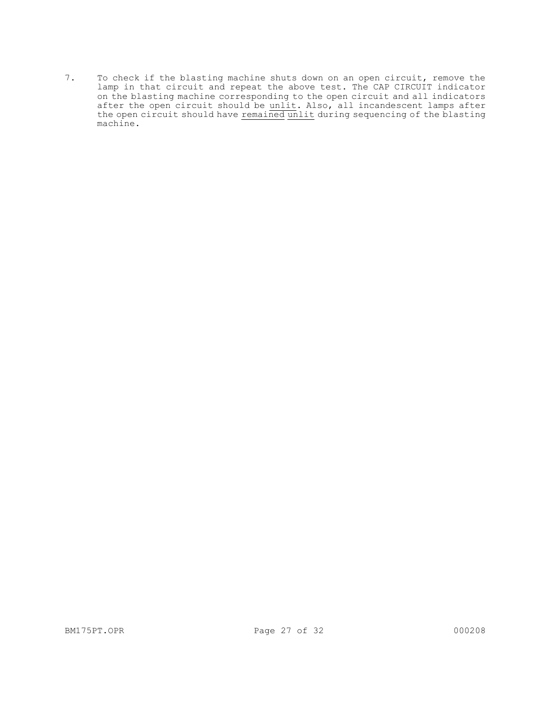7. To check if the blasting machine shuts down on an open circuit, remove the lamp in that circuit and repeat the above test. The CAP CIRCUIT indicator on the blasting machine corresponding to the open circuit and all indicators after the open circuit should be unlit. Also, all incandescent lamps after the open circuit should have remained unlit during sequencing of the blasting machine.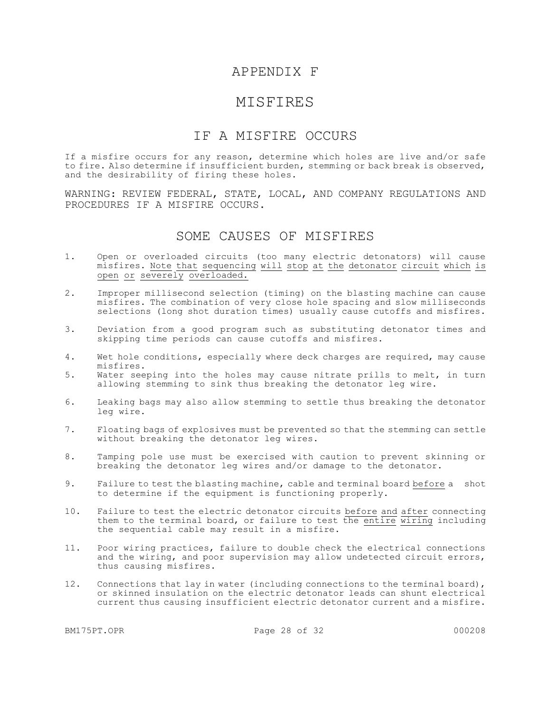## APPENDIX F

## MISFIRES

## IF A MISFIRE OCCURS

If a misfire occurs for any reason, determine which holes are live and/or safe to fire. Also determine if insufficient burden, stemming or back break is observed, and the desirability of firing these holes.

WARNING: REVIEW FEDERAL, STATE, LOCAL, AND COMPANY REGULATIONS AND PROCEDURES IF A MISFIRE OCCURS.

### SOME CAUSES OF MISFIRES

- 1. Open or overloaded circuits (too many electric detonators) will cause misfires. Note that sequencing will stop at the detonator circuit which is open or severely overloaded.
- 2. Improper millisecond selection (timing) on the blasting machine can cause misfires. The combination of very close hole spacing and slow milliseconds selections (long shot duration times) usually cause cutoffs and misfires.
- 3. Deviation from a good program such as substituting detonator times and skipping time periods can cause cutoffs and misfires.
- 4. Wet hole conditions, especially where deck charges are required, may cause misfires.
- 5. Water seeping into the holes may cause nitrate prills to melt, in turn allowing stemming to sink thus breaking the detonator leg wire.
- 6. Leaking bags may also allow stemming to settle thus breaking the detonator leg wire.
- 7. Floating bags of explosives must be prevented so that the stemming can settle without breaking the detonator leg wires.
- 8. Tamping pole use must be exercised with caution to prevent skinning or breaking the detonator leg wires and/or damage to the detonator.
- 9. Failure to test the blasting machine, cable and terminal board before a shot to determine if the equipment is functioning properly.
- 10. Failure to test the electric detonator circuits before and after connecting them to the terminal board, or failure to test the entire wiring including the sequential cable may result in a misfire.
- 11. Poor wiring practices, failure to double check the electrical connections and the wiring, and poor supervision may allow undetected circuit errors, thus causing misfires.
- 12. Connections that lay in water (including connections to the terminal board), or skinned insulation on the electric detonator leads can shunt electrical current thus causing insufficient electric detonator current and a misfire.

BM175PT.OPR 28 of 32 000208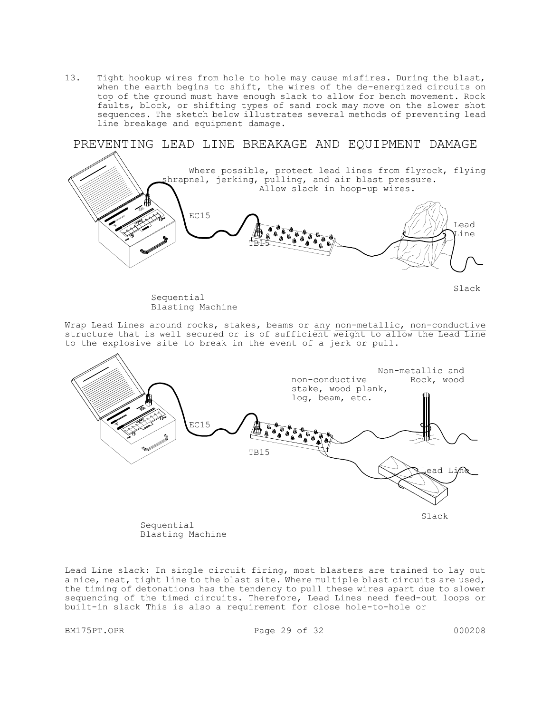13. Tight hookup wires from hole to hole may cause misfires. During the blast, when the earth begins to shift, the wires of the de-energized circuits on top of the ground must have enough slack to allow for bench movement. Rock faults, block, or shifting types of sand rock may move on the slower shot sequences. The sketch below illustrates several methods of preventing lead line breakage and equipment damage.



 Sequential Blasting Machine Slack

Wrap Lead Lines around rocks, stakes, beams or any non-metallic, non-conductive structure that is well secured or is of sufficient weight to allow the Lead Line to the explosive site to break in the event of a jerk or pull.



 Sequential Blasting Machine

Lead Line slack: In single circuit firing, most blasters are trained to lay out a nice, neat, tight line to the blast site. Where multiple blast circuits are used, the timing of detonations has the tendency to pull these wires apart due to slower sequencing of the timed circuits. Therefore, Lead Lines need feed-out loops or built-in slack This is also a requirement for close hole-to-hole or

BM175PT.OPR Page 29 of 32 000208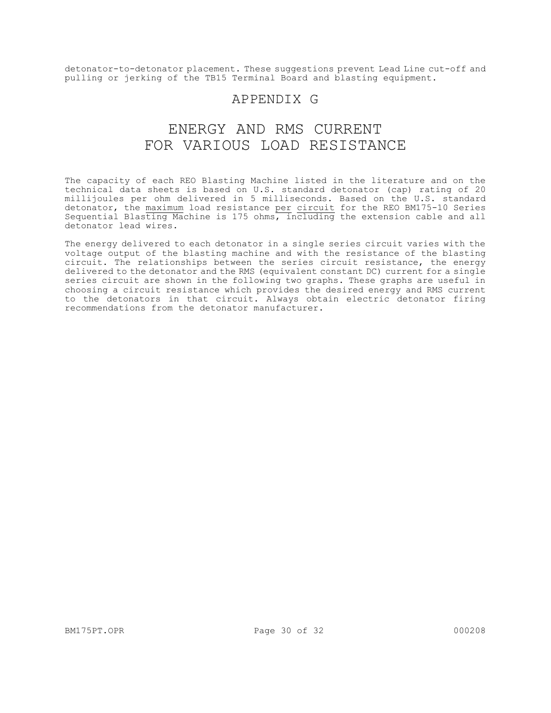detonator-to-detonator placement. These suggestions prevent Lead Line cut-off and pulling or jerking of the TB15 Terminal Board and blasting equipment.

## APPENDIX G

# ENERGY AND RMS CURRENT FOR VARIOUS LOAD RESISTANCE

The capacity of each REO Blasting Machine listed in the literature and on the technical data sheets is based on U.S. standard detonator (cap) rating of 20 millijoules per ohm delivered in 5 milliseconds. Based on the U.S. standard detonator, the maximum load resistance per circuit for the REO BM175-10 Series Sequential Blasting Machine is 175 ohms, including the extension cable and all detonator lead wires.

The energy delivered to each detonator in a single series circuit varies with the voltage output of the blasting machine and with the resistance of the blasting circuit. The relationships between the series circuit resistance, the energy delivered to the detonator and the RMS (equivalent constant DC) current for a single series circuit are shown in the following two graphs. These graphs are useful in choosing a circuit resistance which provides the desired energy and RMS current to the detonators in that circuit. Always obtain electric detonator firing recommendations from the detonator manufacturer.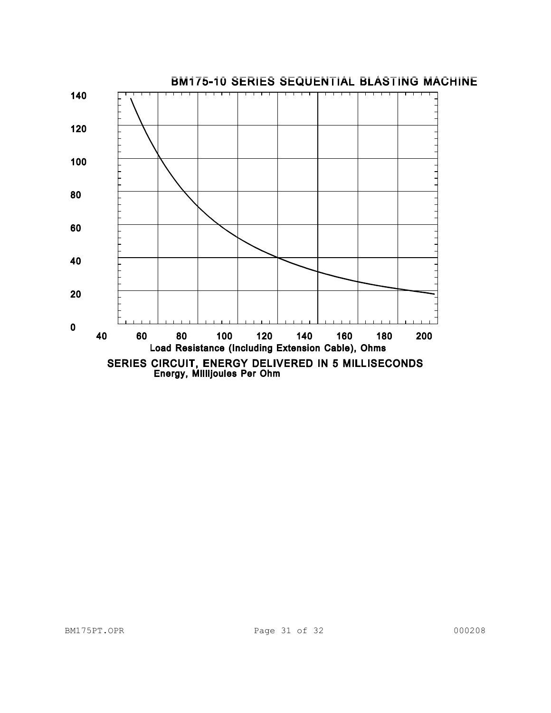